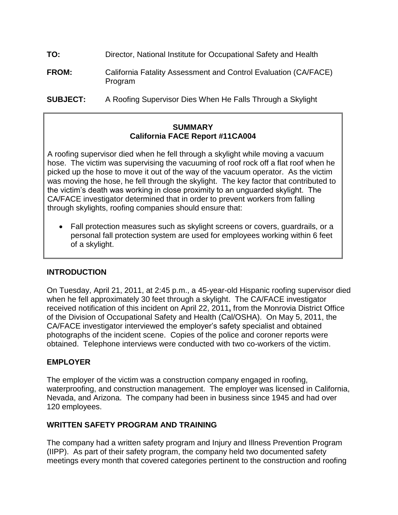- **TO: TO:** Director, National Institute for Occupational Safety and Health
- **FROM:** California Fatality Assessment and Control Evaluation (CA/FACE) Program
- **SUBJECT:** A Roofing Supervisor Dies When He Falls Through a Skylight

#### **SUMMARY SUMMARYCalifornia FACE Report #11CA004**

 hose. The victim was supervising the vacuuming of roof rock off a flat roof when he picked up the hose to move it out of the way of the vacuum operator. As the victim was moving the hose, he fell through the skylight. The key factor that contributed to the victim's death was working in close proximity to an unguarded skylight. The CA/FACE investigator determined that in order to prevent workers from falling A roofing supervisor died when he fell through a skylight while moving a vacuum through skylights, roofing companies should ensure that:

 Fall protection measures such as skylight screens or covers, guardrails, or a personal fall protection system are used for employees working within 6 feet of a skylight.

## **INTRODUCTION**

 On Tuesday, April 21, 2011, at 2:45 p.m., a 45-year-old Hispanic roofing supervisor died when he fell approximately 30 feet through a skylight. The CA/FACE investigator received notification of this incident on April 22, 2011**,** from the Monrovia District Office of the Division of Occupational Safety and Health (Cal/OSHA). On May 5, 2011, the CA/FACE investigator interviewed the employer's safety specialist and obtained photographs of the incident scene. Copies of the police and coroner reports were obtained. Telephone interviews were conducted with two co-workers of the victim.

## **EMPLOYER**

 The employer of the victim was a construction company engaged in roofing, waterproofing, and construction management. The employer was licensed in California, Nevada, and Arizona. The company had been in business since 1945 and had over 120 employees.

## **WRITTEN SAFETY PROGRAM AND TRAINING**

 meetings every month that covered categories pertinent to the construction and roofing The company had a written safety program and Injury and Illness Prevention Program (IIPP). As part of their safety program, the company held two documented safety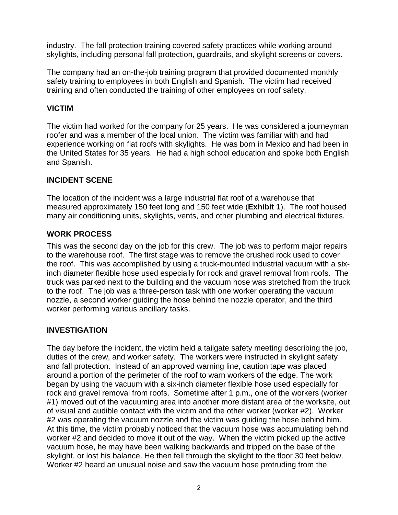industry. The fall protection training covered safety practices while working around skylights, including personal fall protection, guardrails, and skylight screens or covers.

 safety training to employees in both English and Spanish. The victim had received training and often conducted the training of other employees on roof safety. The company had an on-the-job training program that provided documented monthly

# **VICTIM**

 roofer and was a member of the local union. The victim was familiar with and had experience working on flat roofs with skylights. He was born in Mexico and had been in the United States for 35 years. He had a high school education and spoke both English and Spanish. The victim had worked for the company for 25 years. He was considered a journeyman

## **INCIDENT SCENE**

 measured approximately 150 feet long and 150 feet wide (**Exhibit 1**). The roof housed many air conditioning units, skylights, vents, and other plumbing and electrical fixtures. The location of the incident was a large industrial flat roof of a warehouse that

#### **WORK PROCESS**

 This was the second day on the job for this crew. The job was to perform major repairs to the warehouse roof. The first stage was to remove the crushed rock used to cover inch diameter flexible hose used especially for rock and gravel removal from roofs. The to the roof. The job was a three-person task with one worker operating the vacuum nozzle, a second worker guiding the hose behind the nozzle operator, and the third the roof. This was accomplished by using a truck-mounted industrial vacuum with a sixtruck was parked next to the building and the vacuum hose was stretched from the truck worker performing various ancillary tasks.

#### **INVESTIGATION**

 duties of the crew, and worker safety. The workers were instructed in skylight safety and fall protection. Instead of an approved warning line, caution tape was placed around a portion of the perimeter of the roof to warn workers of the edge. The work began by using the vacuum with a six-inch diameter flexible hose used especially for rock and gravel removal from roofs. Sometime after 1 p.m., one of the workers (worker of visual and audible contact with the victim and the other worker (worker #2). Worker #2 was operating the vacuum nozzle and the victim was guiding the hose behind him. At this time, the victim probably noticed that the vacuum hose was accumulating behind worker #2 and decided to move it out of the way. When the victim picked up the active vacuum hose, he may have been walking backwards and tripped on the base of the skylight, or lost his balance. He then fell through the skylight to the floor 30 feet below. Worker #2 heard an unusual noise and saw the vacuum hose protruding from the The day before the incident, the victim held a tailgate safety meeting describing the job, #1) moved out of the vacuuming area into another more distant area of the worksite, out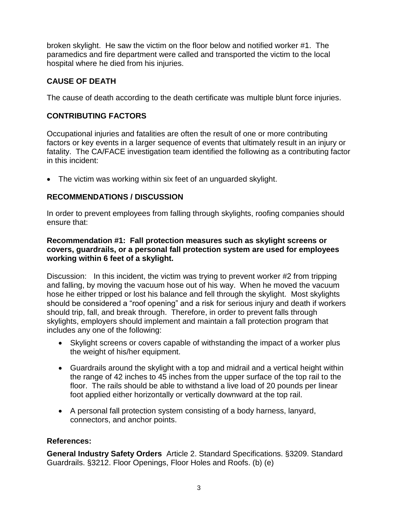broken skylight. He saw the victim on the floor below and notified worker #1. The hospital where he died from his injuries. paramedics and fire department were called and transported the victim to the local

# **CAUSE OF DEATH**

The cause of death according to the death certificate was multiple blunt force injuries.

# **CONTRIBUTING FACTORS**

 factors or key events in a larger sequence of events that ultimately result in an injury or fatality. The CA/FACE investigation team identified the following as a contributing factor Occupational injuries and fatalities are often the result of one or more contributing in this incident:

 The victim was working within six feet of an unguarded skylight.

## **RECOMMENDATIONS / DISCUSSION**

In order to prevent employees from falling through skylights, roofing companies should ensure that:

#### **covers, guardrails, or a personal fall protection system are used for employees Recommendation #1: Fall protection measures such as skylight screens or working within 6 feet of a skylight.**

 and falling, by moving the vacuum hose out of his way. When he moved the vacuum hose he either tripped or lost his balance and fell through the skylight. Most skylights should be considered a "roof opening" and a risk for serious injury and death if workers should trip, fall, and break through. Therefore, in order to prevent falls through skylights, employers should implement and maintain a fall protection program that includes any one of the following: Discussion: In this incident, the victim was trying to prevent worker #2 from tripping

- Skylight screens or covers capable of withstanding the impact of a worker plus the weight of his/her equipment.
- the range of 42 inches to 45 inches from the upper surface of the top rail to the floor. The rails should be able to withstand a live load of 20 pounds per linear Guardrails around the skylight with a top and midrail and a vertical height within foot applied either horizontally or vertically downward at the top rail.
- A personal fall protection system consisting of a body harness, lanyard, connectors, and anchor points. and anchor points.

## **References:**

 **General Industry Safety Orders** Article 2. Standard Specifications. §3209. Standard Guardrails. §3212. Floor Openings, Floor Holes and Roofs. (b) (e)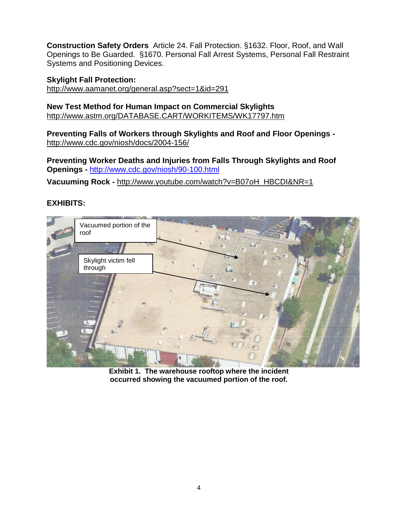**Construction Safety Orders** Article 24. Fall Protection. §1632. Floor, Roof, and Wall Systems and Positioning Devices. Openings to Be Guarded. §1670. Personal Fall Arrest Systems, Personal Fall Restraint

## **Skylight Fall Protection:**

<http://www.aamanet.org/general.asp?sect=1&id=291>

**New Test Method for Human Impact on Commercial Skylights**  <http://www.astm.org/DATABASE.CART/WORKITEMS/WK17797.htm>

**Preventing Falls of Workers through Skylights and Roof and Floor Openings**  <http://www.cdc.gov/niosh/docs/2004-156/>

 **Openings -** <http://www.cdc.gov/niosh/90-100.html> **Preventing Worker Deaths and Injuries from Falls Through Skylights and Roof** 

 **Vacuuming Rock -** http://www.youtube.com/watch?v=B07oH\_HBCDI&NR=1

## **EXHIBITS:**



 **Exhibit 1. The warehouse rooftop where the incident occurred showing the vacuumed portion of the roof.**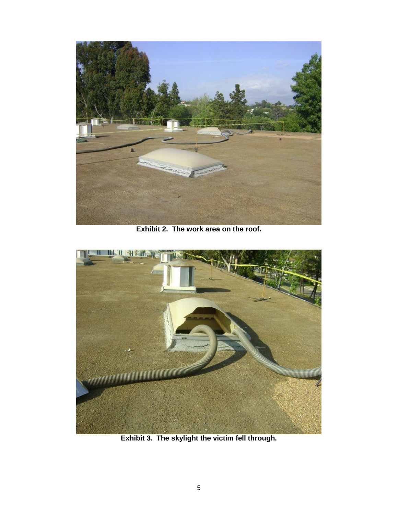

 **Exhibit 2. The work area on the roof.** 



 **Exhibit 3. The skylight the victim fell through.**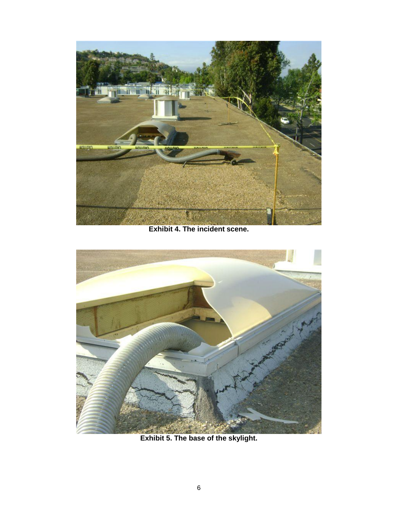

 **Exhibit 4. The incident scene.** 



 **Exhibit 5. The base of the skylight.**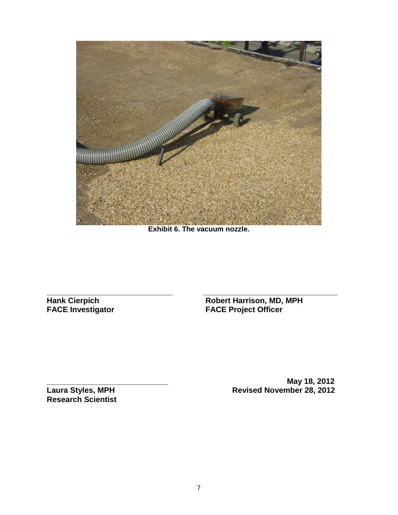

 **Exhibit 6. The vacuum nozzle.** 

**\_\_\_\_\_\_\_\_\_\_\_\_\_\_\_\_\_\_\_\_\_\_\_\_\_\_\_\_\_ \_\_\_\_\_\_\_\_\_\_\_\_\_\_\_\_\_\_\_\_\_\_\_\_\_\_\_\_\_\_\_** 

**Hank Cierpich FACE Investigator** 

**Hank Cierpich Robert Harrison, MD, MPH FACE Investigator FACE Project Officer** 

**Research Scientist** 

**\_\_\_\_\_\_\_\_\_\_\_\_\_\_\_\_\_\_\_\_\_\_\_\_\_\_\_\_ May 18, 2012 Laura Styles, MPH Revised November 28, 2012**